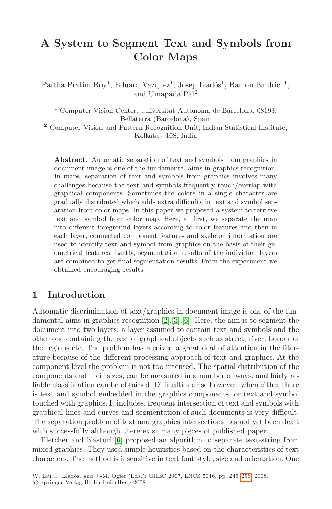# **A System to Segment Text and Symbols from Color Maps**

Partha Pratim Roy<sup>1</sup>, Eduard Vazquez<sup>1</sup>, Josep Lladós<sup>1</sup>, Ramon Baldrich<sup>1</sup>, and Umapada Pal<sup>2</sup>

 $1$  Computer Vision Center, Universitat Autònoma de Barcelona, 08193, Bellaterra (Barcelona), Spain

 $^2$  Computer Vision and Pattern Recognition Unit, Indian Statistical Institute, Kolkata - 108, India

**Abstract.** Automatic separation of text and symbols from graphics in document image is one of the fundamental aims in graphics recognition. In maps, separation of text and symbols from graphics involves many challenges because the text and symbols frequently touch/overlap with graphical components. Sometimes the colors in a single character are gradually distributed which adds extra difficulty in text and symbol separation from color maps. In this paper we proposed a system to retrieve text and symbol from color map. Here, at first, we separate the map into different foreground layers according to color features and then in each layer, connected component features and skeleton information are used to identify text and symbol from graphics on the basis of their geometrical feat[ure](#page-10-0)[s.](#page-10-1) L[as](#page-11-0)tly, segmentation results of the individual layers are combined to get final segmentation results. From the experiment we obtained encouraging results.

# **1 Introduction**

Automatic discrimination of text/graphics in document image is one of the fundamental aims in graphics recognition [2],[3],[6]. Here, the aim is to segment the document into two layers: a layer assumed to contain text and symbols and the other one containing the rest of graphical objects such as street, river, border of the regions etc. The problem has received a great deal of attention in the literature because of the different processing approach of text and graphics. At the comp[on](#page-11-0)ent level the problem is not too intensed. The spatial distribution of the components and their sizes, can be measured in a number of ways, and fairly reliable classification can be obtained. Difficulties arise however, when either there is text and symbol embedded in the graphics components, or text and symbol touched with graphics. It includes, frequent [inte](#page-11-1)rsection of text and symbols with graphical lines and curves and segmentation of such documents is very difficult. The separation problem of text and graphics intersections has not yet been dealt with successfully although there exist many pieces of published paper.

Fletcher and Kasturi [6] proposed an algorithm to separate text-string from mixed graphics. They used simple heuristics based on the characteristics of text characters. The method is insensitive in text font style, size and orientation. One

W. Liu, J. Lladós, and J.-M. Ogier (Eds.): GREC 2007, LNCS 5046, pp. 245-256, 2008.

<sup>-</sup>c Springer-Verlag Berlin Heidelberg 2008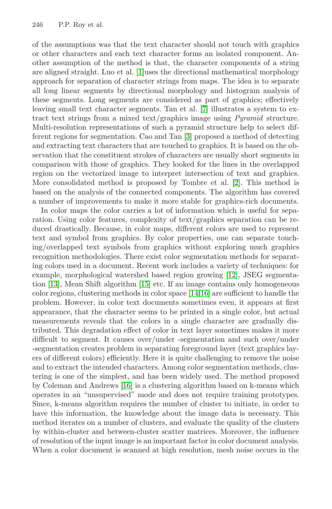of the assumptions was that th[e](#page-11-2) text character should not touch with graphics or other characters and each text character forms an isolated component. Another assumption of the [met](#page-10-1)hod is that, the character components of a string are aligned straight. Luo et al. [1]uses the directional mathematical morphology approach for separation of character strings from maps. The idea is to separate all long linear segments by directional morphology and histogram analysis of these segments. Long segments are considered as part of graphics; effectively leaving small text character segments. T[an](#page-10-0) et al. [7] illustrates a system to extract text strings from a mixed text/graphics image using *Pyramid* structure. Multi-resolution representations of such a pyramid structure help to select different regions for segmentation. Cao and Tan [3] proposed a method of detecting and extracting text characters that are touched to graphics. It is based on the observation that the constituent strokes of characters are usually short segments in comparison with those of graphics. They looked for the lines in the overlapped region on the vectorized image to interpret intersection of text and graphics. More consolidated method is proposed by Tombre et al. [2]. This method is based on the analysis of the connected components. The algorithm has covered a number of improvements to make it [mor](#page-11-3)e stable for graphics-rich documents.

In color m[aps](#page-11-4) the color carries a lot of information which is useful for separation. Using color features[, co](#page-11-5)[mp](#page-11-6)lexity of text/graphics separation can be reduced drastically. Because, in color maps, different colors are used to represent text and symbol from graphics. By color properties, one can separate touching/overlapped text symbols from graphics without exploring much graphics recognition methodologies. There exist color segmentation methods for separating colors used in a document. Recent work includes a variety of techniques: for example, morphological watershed based region growing [12], JSEG segmentation [13], Mean Shift algorithm [15] etc. If an image contains only homogeneous color regions, clustering methods in color space [14,16] are sufficient to handle the problem. However, in color text documents sometimes even, it appears at first appear[ance](#page-11-6), that the character seems to be printed in a single color, but actual measurements reveals that the colors in a single character are gradually distributed. This degradation effect of color in text layer sometimes makes it more difficult to segment. It causes over/under -segmentation and such over/under -segmentation creates problem in separating foreground layer (text graphics layers of different colors) efficiently. Here it is quite challenging to remove the noise and to extract the intended characters. Among color segmentation methods, clustering is one of the simplest, and has been widely used. The method proposed by Coleman and Andrews [16] is a clustering algorithm based on k-means which operates in an "unsupervised" mode and does not require training prototypes. Since, k-means algorithm requires the number of cluster to initiate, in order to have this information, the knowledge about the image data is necessary. This method iterates on a number of clusters, and evaluate the quality of the clusters by within-cluster and between-cluster scatter matrices. Moreover, the influence of resolution of the input image is an important factor in color document analysis. When a color document is scanned at high resolution, mesh noise occurs in the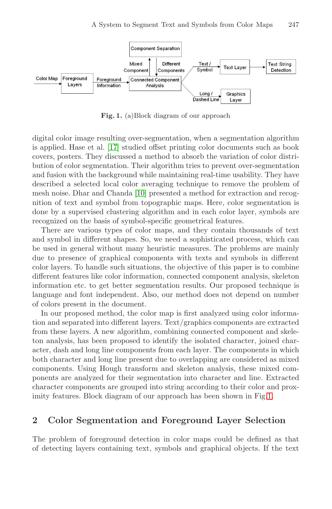<span id="page-2-0"></span>

**Fig. 1.** (a)Block diagram of our approach

digital color image resulting over-segmentation, when a segmentation algorithm is applied. Hase et al. [17] studied offset printing color documents such as book covers, posters. They discussed a method to absorb the variation of color distribution of color segmentation. Their algorithm tries to prevent over-segmentation and fusion with the background while maintaining real-time usability. They have described a selected local color averaging technique to remove the problem of mesh noise. Dhar and Chanda [10] presented a method for extraction and recognition of text and symbol from topographic maps. Here, color segmentation is done by a supervised clustering algorithm and in each color layer, symbols are recognized on the basis of symbol-specific geometrical features.

There are various types of color maps, and they contain thousands of text and symbol in different shapes. So, we need a sophisticated process, which can be used in general without many heuristic measures. The problems are mainly due to presence of graphical components with texts and symbols in different color layers. To handle such situations, the objective of this paper is to combine different features like color information, connected component analysis, skeleton information etc. to get better segmentation results. Our proposed technique is language and font independent. Also, our method does not depend on number of colors present in the document.

In our proposed method, the color map is first analyzed using color information and separated into different layers. Text/graph[ics](#page-2-0) components are extracted from these layers. A new algorithm, combining connected component and skeleton analysis, has been proposed to identify the isolated character, joined character, dash and long line components from each layer. The components in which both character and long line present due to overlapping are considered as mixed components. Using Hough transform and skeleton analysis, these mixed components are analyzed for their segmentation into character and line. Extracted character components are grouped into string according to their color and proximity features. Block diagram of our approach has been shown in Fig.1.

# **2 Color Segmentation and Foreground Layer Selection**

The problem of foreground detection in color maps could be defined as that of detecting layers containing text, symbols and graphical objects. If the text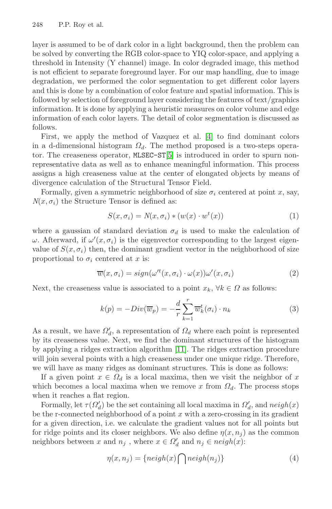layer is assumed to be of dark color in a light background, then the problem can be solved by converting the RGB color-space to YIQ color-space, and applying a threshold in Intensity (Y channe[l\)](#page-10-2) image. In color degraded image, this method is not efficient to separate foreground layer. For our map handling, due to image degradation, we perf[or](#page-10-3)med the color segmentation to get different color layers and this is done by a combination of color feature and spatial information. This is followed by selection of foreground layer considering the features of text/graphics information. It is done by applying a heuristic measures on color volume and edge information of each color layers. The detail of color segmentation is discussed as follows.

First, we apply the method of Vazquez et al. [4] to find dominant colors in a d-dimensional histogram Ω*d*. The method proposed is a two-steps operator. The creaseness operator, MLSEC-ST[5] is introduced in order to spurn nonrepresentative data as well as to enhance meaningful information. This process assigns a high creaseness value at the center of elongated objects by means of divergence calculation of the Structural Tensor Field.

Formally, given a symmetric neighborhood of size  $\sigma_i$  centered at point x, say,  $N(x, \sigma_i)$  the Structure Tensor is defined as:

$$
S(x, \sigma_i) = N(x, \sigma_i) * (w(x) \cdot w^t(x))
$$
\n(1)

where a gaussian of standard deviation  $\sigma_d$  is used to make the calculation of  $\omega$ . Afterward, if  $\omega'(x, \sigma_i)$  is the eigenvector corresponding to the largest eigenvalue of  $S(x, \sigma_i)$  then, the dominant gradient vector in the neighborhood of size proportional to  $\sigma_i$  centered at x is:

$$
\overline{w}(x,\sigma_i) = sign(\omega'^t(x,\sigma_i)\cdot\omega(x))\omega'(x,\sigma_i)
$$
\n(2)

Next, the creaseness value is associated to a point  $x_k, \forall k \in \Omega$  as follows:

$$
k(p) = -Div(\overline{w}_p) = -\frac{d}{r} \sum_{k=1}^{r} \overline{w}_k^t(\sigma_i) \cdot n_k
$$
\n(3)

As a result, we have  $\Omega_d'$ , a representation of  $\Omega_d$  where each point is represented by its creaseness value. Next, we find the dominant structures of the histogram by applying a ridges extraction algorithm [11]. The ridges extraction procedure will join several points with a high creaseness under one unique ridge. Therefore, we will have as many ridges as dominant structures. This is done as follows:

If a given point  $x \in \Omega_d$  is a local maxima, then we visit the neighbor of x which becomes a local maxima when we remove x from  $\Omega_d$ . The process stops when it reaches a flat region.

Formally, let  $\tau(\Omega_d')$  be the set containing all local maxima in  $\Omega_d'$ , and  $neigh(x)$ be the r-connected neighborhood of a point  $x$  with a zero-crossing in its gradient for a given direction, i.e. we calculate the gradient values not for all points but for ridge points and its closer neighbors. We also define  $\eta(x, n_i)$  as the common neighbors between x and  $n_j$ , where  $x \in \Omega_d'$  and  $n_j \in \text{neigh}(x)$ :

$$
\eta(x, n_j) = \{neigh(x) \cap neigh(n_j)\}\tag{4}
$$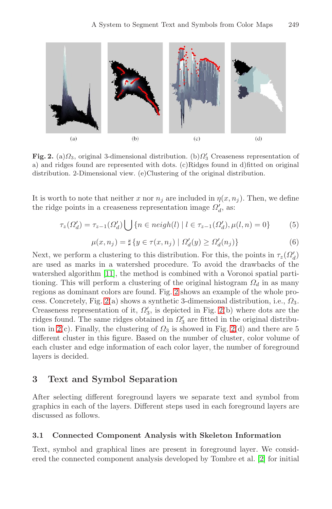<span id="page-4-0"></span>

**Fig. 2.** (a) $\Omega_3$ , original 3-dimensional distribution. (b) $\Omega'_3$  Creaseness representation of a) and ridges found are represented with dots (c)Bidges found in d)fitted on original a) and ridges found are represented with dots. (c)Ridges found in d)fitted on original distribution. 2-Dimensional view. (e)Clustering of the original distribution.

It [is w](#page-11-7)orth to note that neither x nor  $n_j$  are included in  $\eta(x, n_j)$ . Then, we define the ridge points in a creaseness representation image  $\Omega_d$ , as:

$$
\tau_z(\Omega'_d) = \tau_{z-1}(\Omega'_d) \bigcup \{ n \in \text{neigh}(l) \mid l \in \tau_{z-1}(\Omega'_d), \mu(l, n) = 0 \} \tag{5}
$$

$$
\mu(x, n_j) = \sharp \{ y \in \tau(x, n_j) \mid \Omega'_d(y) \ge \Omega'_d(n_j) \}
$$
\n
$$
(6)
$$

Next, we perform a clustering to this di[str](#page-4-0)ibution. For this, the points in  $\tau_z(\Omega_d)$ are used as marks in a watershed procedure. To avoid the drawbacks of the watershed algorithm [11], the method is combined with a Voronoi spatial partitioning. This will perform a clustering of the original histogram  $\Omega_d$  in as many regions as dominant colors are found. Fig. 2 shows an example of the whole process. Concretely, Fig. 2(a) shows a synthetic 3-dimensional distribution, i.e.,  $\Omega_3$ . Creaseness representation of it,  $\Omega'_3$ , is depicted in Fig. 2(b) where dots are the ridges found. The same ridges obtained in  $\Omega'_{3}$  are fitted in the original distribution in 2(c). Finally, the clustering of  $\Omega_3$  is showed in Fig. 2(d) and there are 5 different cluster in this figure. Based on the number of cluster, color volume of each cluster and edge information of each color layer, the number of foreground layers is decided.

# **3 Text and Symbol Separation**

After selecting different foreground layers we separate text and symbol from graphics in each of the layers. Different steps used in each foreground layers are discussed as follows.

## **3.1 Connected Component Analysis with Skeleton Information**

Text, symbol and graphical lines are present in foreground layer. We considered the connected component analysis developed by Tombre et al. [2] for initial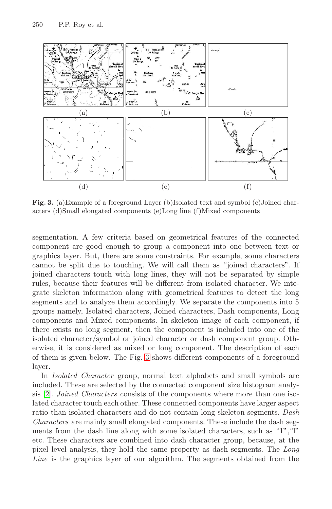

<span id="page-5-0"></span>Fig. 3. (a)Example of a foreground Layer (b)Isolated text and symbol (c)Joined characters (d)Small elongated components (e)Long line (f)Mixed components

segmentation. A few criteria based on geometrical features of the connected component are good enough to group a component into one between text or graphics layer. But, there are some constraints. For example, some characters cannot be split due to touching. We will call them as "joined characters". If joined characters touch with long lines, they will not be separated by simple rules, because [th](#page-5-0)eir features will be different from isolated character. We integrate skeleton information along with geometrical features to detect the long segments and to analyze them accordingly. We separate the components into 5 groups namely, Isolated characters, Joined characters, Dash components, Long components and Mixed components. In skeleton image of each component, if there exists no long segment, then the component is included into one of the isolated character/symbol or joined character or dash component group. Otherwise, it is considered as mixed or long component. The description of each of them is given below. The Fig. 3 shows different components of a foreground layer.

In *Isolated Character* group, normal text alphabets and small symbols are included. These are selected by the connected component size histogram analysis [2]. *Joined Characters* consists of the components where more than one isolated character touch each other. These connected components have larger aspect ratio than isolated characters and do not contain long skeleton segments. *Dash Characters* are mainly small elongated components. These include the dash segments from the dash line along with some isolated characters, such as "1", "l" etc. These characters are combined into dash character group, because, at the pixel level analysis, they hold the same property as dash segments. The *Long Line* is the graphics layer of our algorithm. The segments obtained from the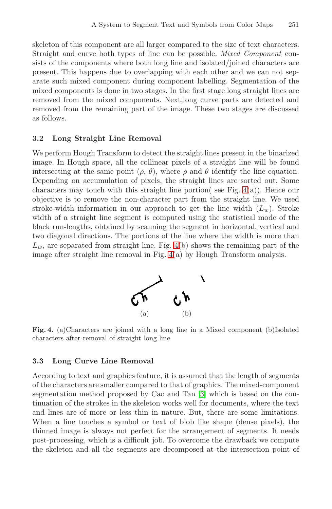skeleton of this component are all larger compared to the size of text characters. Straight and curve both types of line can be possible. *Mixed Component* consists of the components where both long line and isolated/joined characters are present. This happens due to overlapping with each other and we can not separate such mixed component during component labelling. Segmentation of the mixed components is done in two stages. In the first stage long straight lines are removed from the mixed components. Next,long curve parts are detected and removed from the remaining part of the image. These two stages are discussed as follows.

#### **3.2 Long Straight Line Removal**

We perform Hough Transform to detect the straight lines present in the binarized image. In Hough space, all the collinear pixels of a straight line will be found intersecting at the sa[me](#page-6-0) point  $(\rho, \theta)$ , where  $\rho$  and  $\theta$  identify the line equation. Depending on accum[ul](#page-6-0)ation of pixels, the straight lines are sorted out. Some characters may touch with this straight line portion( see Fig.  $4(a)$ ). Hence our objective is to remove the non-character part from the straight line. We used stroke-width information in our approach to get the line width  $(L_w)$ . Stroke width of a straight line segment is computed using the statistical mode of the black run-lengths, obtained by scanning the segment in horizontal, vertical and two diagonal directions. The portions of the line where the width is more than  $L<sub>w</sub>$ , are separated from straight line. Fig.  $4(b)$  shows the remaining part of the image after straight line removal in Fig. 4(a) by Hough Transform analysis.



<span id="page-6-0"></span>**Fig. 4.** (a)Characters are joined with a long line in a Mixed component (b)Isolated characters after removal of straight long line

#### **3.3 Long Curve Line Removal**

According to text and graphics feature, it is assumed that the length of segments of the characters are smaller compared to that of graphics. The mixed-component segmentation method proposed by Cao and Tan [3] which is based on the continuation of the strokes in the skeleton works well for documents, where the text and lines are of more or less thin in nature. But, there are some limitations. When a line touches a symbol or text of blob like shape (dense pixels), the thinned image is always not perfect for the arrangement of segments. It needs post-processing, which is a difficult job. To overcome the drawback we compute the skeleton and all the segments are decomposed at the intersection point of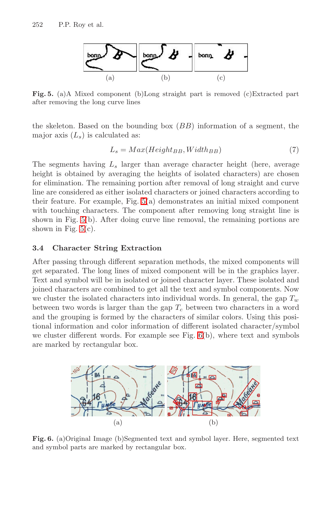

<span id="page-7-0"></span>**Fig. 5.** (a)A Mixed component (b)Long straight part is removed (c)Extracted part after removing the long curve lines

the skeleton. [B](#page-7-0)ased on the bounding box  $(BB)$  information of a segment, the major axis  $(L_s)$  is calculated as:

$$
L_s = Max(Height_{BB}, Width_{BB})
$$
\n(7)

The segments having L*<sup>s</sup>* larger than average character height (here, average height is obtained by averaging the heights of isolated characters) are chosen for elimination. The remaining portion after removal of long straight and curve line are considered as either isolated characters or joined characters according to their feature. For example, Fig. 5(a) demonstrates an initial mixed component with touching characters. The component after removing long straight line is shown in Fig. 5(b). After doing curve line removal, the remaining portions are shown in Fig.  $5(c)$ .

## **3.4 Character String Extraction**

After passing through differen[t s](#page-7-1)eparation methods, the mixed components will get separated. The long lines of mixed component will be in the graphics layer. Text and symbol will be in isolated or joined character layer. These isolated and joined characters are combined to get all the text and symbol components. Now we cluster the isolated characters into individual words. In general, the gap  $T_w$ between two words is larger than the gap T*<sup>c</sup>* between two characters in a word and the grouping is formed by the characters of similar colors. Using this positional information and color information of different isolated character/symbol we cluster different words. For example see Fig.  $6(b)$ , where text and symbols are marked by rectangular box.



<span id="page-7-1"></span>**Fig. 6.** (a)Original Image (b)Segmented text and symbol layer. Here, segmented text and symbol parts are marked by rectangular box.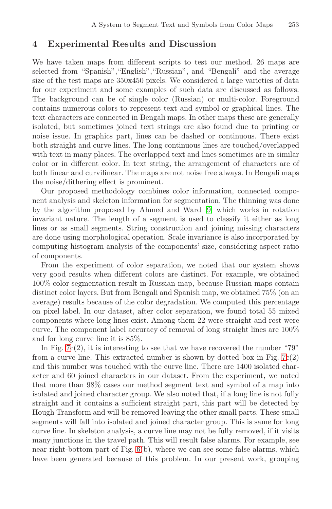# **4 Experimental Results and Discussion**

We have taken maps from different scripts to test our method. 26 maps are selected from "Spanish","English","Russian", and "Bengali" and the average size of the test maps are 350x450 pixels. We considered a large varieties of data for our experiment and some examples of such data are discussed as follows. The background can be of single color (Russian) or multi-color. Foreground contains numerous colors to represent text and symbol or graphical lines. The text characters are connected in Bengali maps. In other maps these are generally isolated, but sometimes joined text strings are also found due to printing or noise issue. In graphics part, li[ne](#page-11-8)s can be dashed or continuous. There exist both straight and curve lines. The long continuous lines are touched/overlapped with text in many places. The overlapped text and lines sometimes are in similar color or in different color. In text string, the arrangement of characters are of both linear and curvilinear. The maps are not noise free always. In Bengali maps the noise/dithering effect is prominent.

Our proposed methodology combines color information, connected component analysis and skeleton information for segmentation. The thinning was done by the algorithm proposed by Ahmed and Ward [9] which works in rotation invariant nature. The length of a segment is used to classify it either as long lines or as small segments. String construction and joining missing characters are done using morphological operation. Scale invariance is also incorporated by computing histogram analysis of the components' size, considering aspect ratio of components.

From the experiment of color separation, we noted that our system shows very good results when different colors are distinct. For example, we obtained 100% color segmentation result in Russian map, becau[se](#page-9-0) Russian maps contain distinct color layers. But from Bengali and Spanish map, we obtained 75% (on an average) results because of the color degradation. We computed this percentage on pixel label. In our dataset, after color separation, we found total 55 mixed components where long lines exist. Among them 22 were straight and rest were curve. The component label accuracy of removal of long straight lines are 100% and for long curve line it is 85%.

In Fig.  $7c(2)$ , it is interesting to see that we have recovered the number "79" from a curve line. This extracted number is shown by dotted box in Fig.  $7c(2)$ and this number was touched with the curve line. There are 1400 isolated character and 6[0](#page-7-1) joined characters in our dataset. From the experiment, we noted that more than 98% cases our method segment text and symbol of a map into isolated and joined character group. We also noted that, if a long line is not fully straight and it contains a sufficient straight part, this part will be detected by Hough Transform and will be removed leaving the other small parts. These small segments will fall into isolated and joined character group. This is same for long curve line. In skeleton analysis, a curve line may not be fully removed, if it visits many junctions in the travel path. This will result false alarms. For example, see near right-bottom part of Fig. 6(b), where we can see some false alarms, which have been generated because of this problem. In our present work, grouping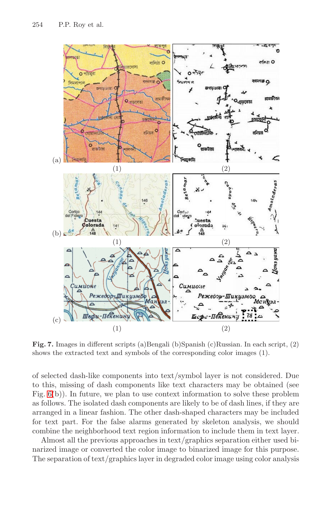

<span id="page-9-0"></span>**Fig. 7.** Images in different scripts (a)Bengali (b)Spanish (c)Russian. In each script, (2) shows the extracted text and symbols of the corresponding color images (1).

of selected dash-like components into text/symbol layer is not considered. Due to this, missing of dash components like text characters may be obtained (see Fig. 6(b)). In future, we plan to use context information to solve these problem as follows. The isolated dash components are likely to be of dash lines, if they are arranged in a linear fashion. The other dash-shaped characters may be included for text part. For the false alarms generated by skeleton analysis, we should combine the neighborhood text region information to include them in text layer.

Almost all the previous approaches in text/graphics separation either used binarized image or converted the color image to binarized image for this purpose. The separation of text/graphics layer in degraded color image using color analysis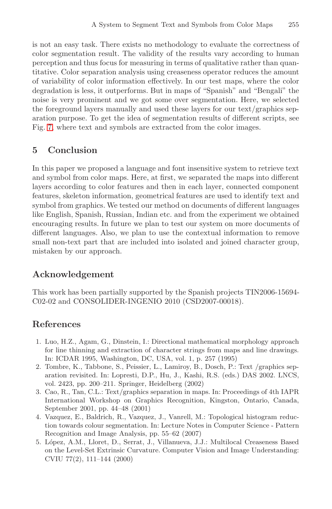is not an easy task. There exists no methodology to evaluate the correctness of color segmentation result. The validity of the results vary according to human perception and thus focus for measuring in terms of qualitative rather than quantitative. Color separation analysis using creaseness operator reduces the amount of variability of color information effectively. In our test maps, where the color degradation is less, it outperforms. But in maps of "Spanish" and "Bengali" the noise is very prominent and we got some over segmentation. Here, we selected the foreground layers manually and used these layers for our text/graphics separation purpose. To get the idea of segmentation results of different scripts, see Fig. 7, where text and symbols are extracted from the color images.

# **5 Conclusion**

In this paper we proposed a language and font insensitive system to retrieve text and symbol from color maps. Here, at first, we separated the maps into different layers according to color features and then in each layer, connected component features, skeleton information, geometrical features are used to identify text and symbol from graphics. We tested our method on documents of different languages like English, Spanish, Russian, Indian etc. and from the experiment we obtained encouraging results. In future we plan to test our system on more documents of different languages. Also, we plan to use the contextual information to remove small non-text part that are included into isolated and joined character group, mistaken by our approach.

# **Acknowledgement**

<span id="page-10-0"></span>This work has been partially supported by the Spanish projects TIN2006-15694- C02-02 and CONSOLIDER-INGENIO 2010 (CSD2007-00018).

# <span id="page-10-2"></span><span id="page-10-1"></span>**References**

- 1. Luo, H.Z., Agam, G., Dinstein, I.: Directional mathematical morphology approach for line thinning and extraction of character strings from maps and line drawings. In: ICDAR 1995, Washington, DC, USA, vol. 1, p. 257 (1995)
- <span id="page-10-3"></span>2. Tombre, K., Tabbone, S., Peissier, L., Lamiroy, B., Dosch, P.: Text /graphics separation revisited. In: Lopresti, D.P., Hu, J., Kashi, R.S. (eds.) DAS 2002. LNCS, vol. 2423, pp. 200–211. Springer, Heidelberg (2002)
- 3. Cao, R., Tan, C.L.: Text/graphics separation in maps. In: Proceedings of 4th IAPR International Workshop on Graphics Recognition, Kingston, Ontario, Canada, September 2001, pp. 44–48 (2001)
- 4. Vazquez, E., Baldrich, R., Vazquez, J., Vanrell, M.: Topological histogram reduction towards colour segmentation. In: Lecture Notes in Computer Science - Pattern Recognition and Image Analysis, pp. 55–62 (2007)
- 5. L´opez, A.M., Lloret, D., Serrat, J., Villanueva, J.J.: Multilocal Creaseness Based on the Level-Set Extrinsic Curvature. Computer Vision and Image Understanding: CVIU 77(2), 111–144 (2000)